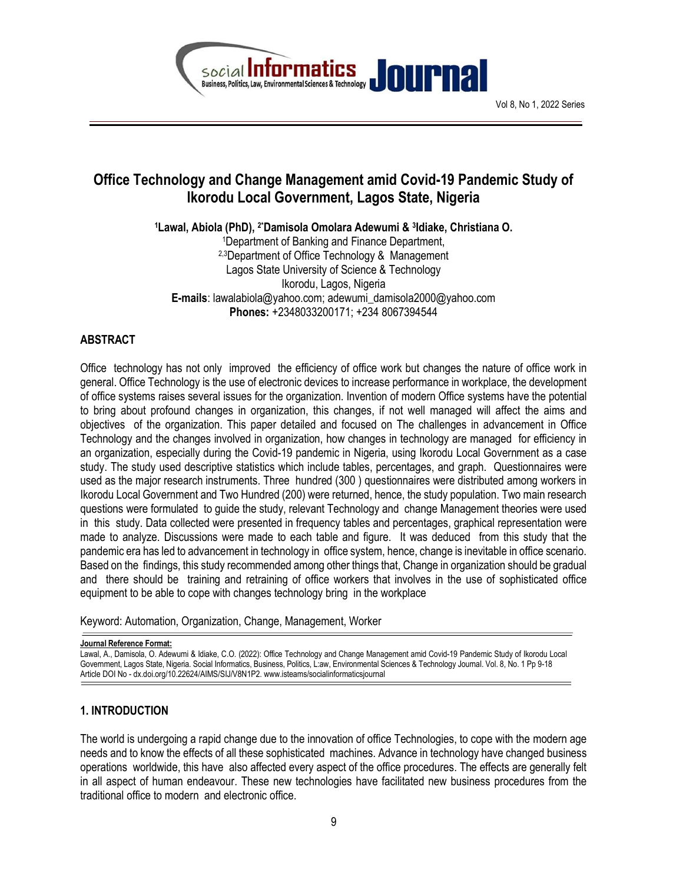

## Office Technology and Change Management amid Covid-19 Pandemic Study of Ikorodu Local Government, Lagos State, Nigeria

1Lawal, Abiola (PhD), <sup>2</sup>\*Damisola Omolara Adewumi & <sup>3</sup>ldiake, Christiana O.

<sup>1</sup>Department of Banking and Finance Department, 2,3Department of Office Technology & Management Lagos State University of Science & Technology Ikorodu, Lagos, Nigeria E-mails: lawalabiola@yahoo.com; adewumi\_damisola2000@yahoo.com Phones: +2348033200171; +234 8067394544

### ABSTRACT

Office technology has not only improved the efficiency of office work but changes the nature of office work in general. Office Technology is the use of electronic devices to increase performance in workplace, the development of office systems raises several issues for the organization. Invention of modern Office systems have the potential to bring about profound changes in organization, this changes, if not well managed will affect the aims and objectives of the organization. This paper detailed and focused on The challenges in advancement in Office Technology and the changes involved in organization, how changes in technology are managed for efficiency in an organization, especially during the Covid-19 pandemic in Nigeria, using Ikorodu Local Government as a case study. The study used descriptive statistics which include tables, percentages, and graph. Questionnaires were used as the major research instruments. Three hundred (300 ) questionnaires were distributed among workers in Ikorodu Local Government and Two Hundred (200) were returned, hence, the study population. Two main research questions were formulated to guide the study, relevant Technology and change Management theories were used in this study. Data collected were presented in frequency tables and percentages, graphical representation were made to analyze. Discussions were made to each table and figure. It was deduced from this study that the pandemic era has led to advancement in technology in office system, hence, change is inevitable in office scenario. Based on the findings, this study recommended among other things that, Change in organization should be gradual and there should be training and retraining of office workers that involves in the use of sophisticated office equipment to be able to cope with changes technology bring in the workplace

Keyword: Automation, Organization, Change, Management, Worker

Journal Reference Format:

Lawal, A., Damisola, O. Adewumi & Idiake, C.O. (2022): Office Technology and Change Management amid Covid-19 Pandemic Study of Ikorodu Local Government, Lagos State, Nigeria. Social Informatics, Business, Politics, L:aw, Environmental Sciences & Technology Journal. Vol. 8, No. 1 Pp 9-18 Article DOI No - dx.doi.org/10.22624/AIMS/SIJ/V8N1P2. www.isteams/socialinformaticsjournal

### 1. INTRODUCTION

The world is undergoing a rapid change due to the innovation of office Technologies, to cope with the modern age needs and to know the effects of all these sophisticated machines. Advance in technology have changed business operations worldwide, this have also affected every aspect of the office procedures. The effects are generally felt in all aspect of human endeavour. These new technologies have facilitated new business procedures from the traditional office to modern and electronic office.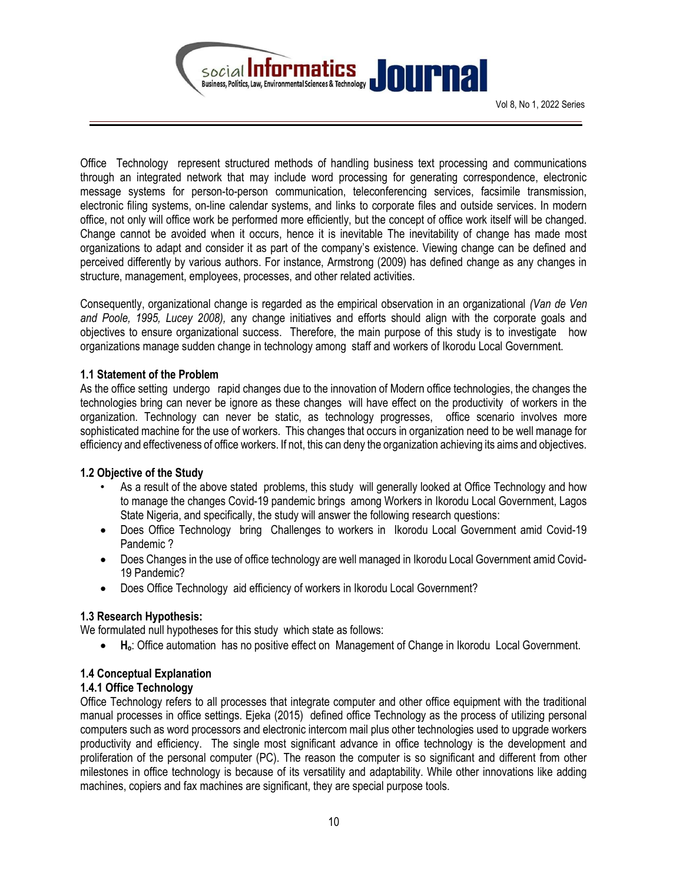

Office Technology represent structured methods of handling business text processing and communications through an integrated network that may include word processing for generating correspondence, electronic message systems for person-to-person communication, teleconferencing services, facsimile transmission, electronic filing systems, on-line calendar systems, and links to corporate files and outside services. In modern office, not only will office work be performed more efficiently, but the concept of office work itself will be changed. Change cannot be avoided when it occurs, hence it is inevitable The inevitability of change has made most organizations to adapt and consider it as part of the company's existence. Viewing change can be defined and perceived differently by various authors. For instance, Armstrong (2009) has defined change as any changes in structure, management, employees, processes, and other related activities.

Consequently, organizational change is regarded as the empirical observation in an organizational (Van de Ven and Poole, 1995, Lucey 2008), any change initiatives and efforts should align with the corporate goals and objectives to ensure organizational success. Therefore, the main purpose of this study is to investigate how organizations manage sudden change in technology among staff and workers of Ikorodu Local Government.

#### 1.1 Statement of the Problem

As the office setting undergo rapid changes due to the innovation of Modern office technologies, the changes the technologies bring can never be ignore as these changes will have effect on the productivity of workers in the organization. Technology can never be static, as technology progresses, office scenario involves more sophisticated machine for the use of workers. This changes that occurs in organization need to be well manage for efficiency and effectiveness of office workers. If not, this can deny the organization achieving its aims and objectives.

#### 1.2 Objective of the Study

- As a result of the above stated problems, this study will generally looked at Office Technology and how to manage the changes Covid-19 pandemic brings among Workers in Ikorodu Local Government, Lagos State Nigeria, and specifically, the study will answer the following research questions:
- Does Office Technology bring Challenges to workers in Ikorodu Local Government amid Covid-19 Pandemic ?
- Does Changes in the use of office technology are well managed in Ikorodu Local Government amid Covid-19 Pandemic?
- Does Office Technology aid efficiency of workers in Ikorodu Local Government?

#### 1.3 Research Hypothesis:

We formulated null hypotheses for this study which state as follows:

Ho: Office automation has no positive effect on Management of Change in Ikorodu Local Government.

#### 1.4 Conceptual Explanation

#### 1.4.1 Office Technology

Office Technology refers to all processes that integrate computer and other office equipment with the traditional manual processes in office settings. Ejeka (2015) defined office Technology as the process of utilizing personal computers such as word processors and electronic intercom mail plus other technologies used to upgrade workers productivity and efficiency. The single most significant advance in office technology is the development and proliferation of the personal computer (PC). The reason the computer is so significant and different from other milestones in office technology is because of its versatility and adaptability. While other innovations like adding machines, copiers and fax machines are significant, they are special purpose tools.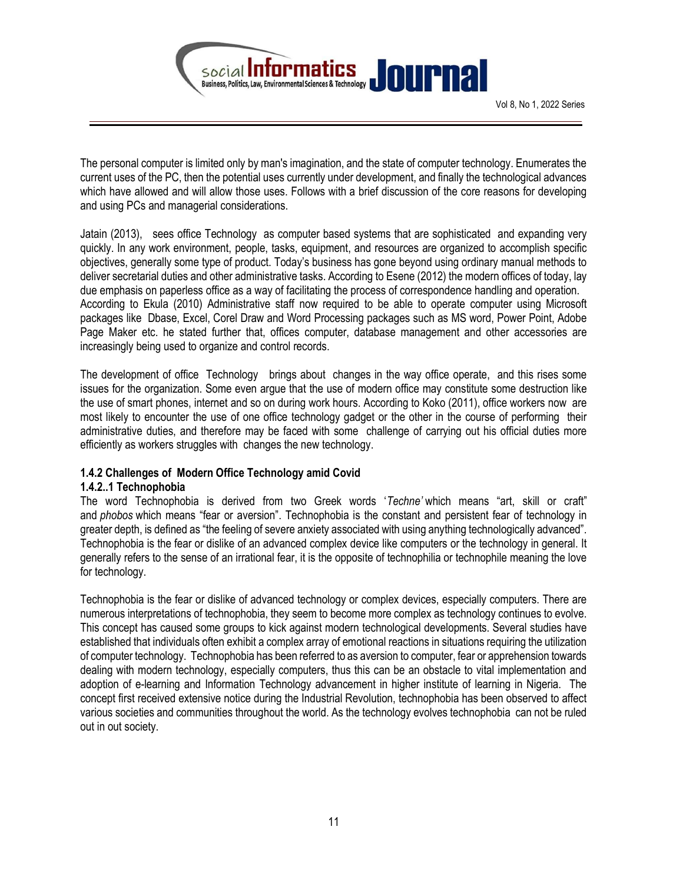

The personal computer is limited only by man′s imagination, and the state of computer technology. Enumerates the current uses of the PC, then the potential uses currently under development, and finally the technological advances which have allowed and will allow those uses. Follows with a brief discussion of the core reasons for developing and using PCs and managerial considerations.

Jatain (2013), sees office Technology as computer based systems that are sophisticated and expanding very quickly. In any work environment, people, tasks, equipment, and resources are organized to accomplish specific objectives, generally some type of product. Today's business has gone beyond using ordinary manual methods to deliver secretarial duties and other administrative tasks. According to Esene (2012) the modern offices of today, lay due emphasis on paperless office as a way of facilitating the process of correspondence handling and operation. According to Ekula (2010) Administrative staff now required to be able to operate computer using Microsoft packages like Dbase, Excel, Corel Draw and Word Processing packages such as MS word, Power Point, Adobe Page Maker etc. he stated further that, offices computer, database management and other accessories are increasingly being used to organize and control records.

The development of office Technology brings about changes in the way office operate, and this rises some issues for the organization. Some even argue that the use of modern office may constitute some destruction like the use of smart phones, internet and so on during work hours. According to Koko (2011), office workers now are most likely to encounter the use of one office technology gadget or the other in the course of performing their administrative duties, and therefore may be faced with some challenge of carrying out his official duties more efficiently as workers struggles with changes the new technology.

#### 1.4.2 Challenges of Modern Office Technology amid Covid

#### 1.4.2..1 Technophobia

The word Technophobia is derived from two Greek words 'Techne' which means "art, skill or craft" and *phobos* which means "fear or aversion". Technophobia is the constant and persistent fear of technology in greater depth, is defined as "the feeling of severe anxiety associated with using anything technologically advanced". Technophobia is the fear or dislike of an advanced complex device like computers or the technology in general. It generally refers to the sense of an irrational fear, it is the opposite of technophilia or technophile meaning the love for technology.

Technophobia is the fear or dislike of advanced technology or complex devices, especially computers. There are numerous interpretations of technophobia, they seem to become more complex as technology continues to evolve. This concept has caused some groups to kick against modern technological developments. Several studies have established that individuals often exhibit a complex array of emotional reactions in situations requiring the utilization of computer technology. Technophobia has been referred to as aversion to computer, fear or apprehension towards dealing with modern technology, especially computers, thus this can be an obstacle to vital implementation and adoption of e-learning and Information Technology advancement in higher institute of learning in Nigeria. The concept first received extensive notice during the Industrial Revolution, technophobia has been observed to affect various societies and communities throughout the world. As the technology evolves technophobia can not be ruled out in out society.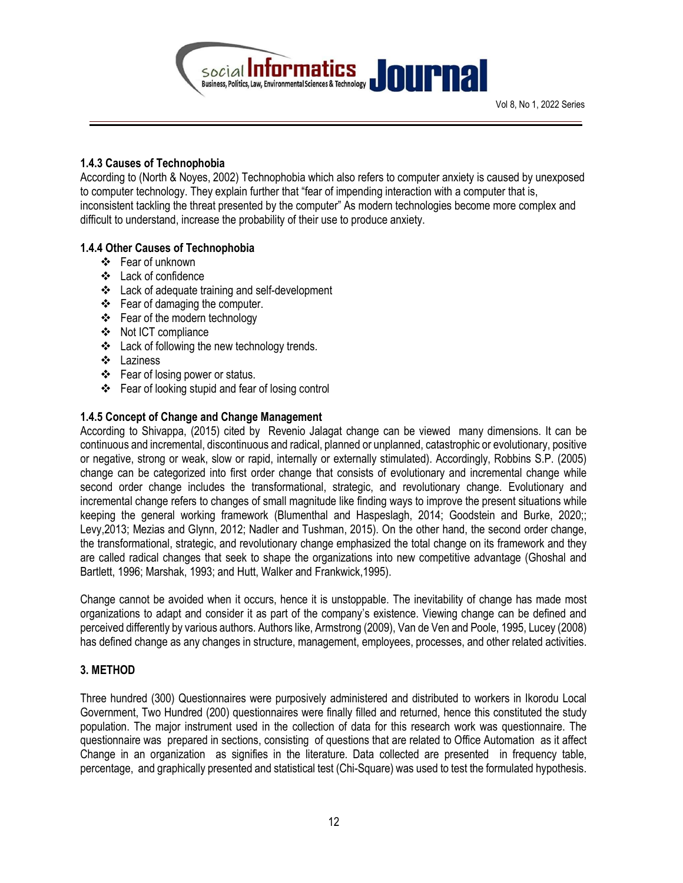

#### 1.4.3 Causes of Technophobia

According to (North & Noyes, 2002) Technophobia which also refers to computer anxiety is caused by unexposed to computer technology. They explain further that "fear of impending interaction with a computer that is, inconsistent tackling the threat presented by the computer" As modern technologies become more complex and difficult to understand, increase the probability of their use to produce anxiety.

#### 1.4.4 Other Causes of Technophobia

- Fear of unknown
- Lack of confidence
- Lack of adequate training and self-development
- $\div$  Fear of damaging the computer.
- Fear of the modern technology
- ❖ Not ICT compliance
- Lack of following the new technology trends.
- Laziness
- ❖ Fear of losing power or status.
- Fear of looking stupid and fear of losing control

### 1.4.5 Concept of Change and Change Management

According to Shivappa, (2015) cited by Revenio Jalagat change can be viewed many dimensions. It can be continuous and incremental, discontinuous and radical, planned or unplanned, catastrophic or evolutionary, positive or negative, strong or weak, slow or rapid, internally or externally stimulated). Accordingly, Robbins S.P. (2005) change can be categorized into first order change that consists of evolutionary and incremental change while second order change includes the transformational, strategic, and revolutionary change. Evolutionary and incremental change refers to changes of small magnitude like finding ways to improve the present situations while keeping the general working framework (Blumenthal and Haspeslagh, 2014; Goodstein and Burke, 2020;; Levy,2013; Mezias and Glynn, 2012; Nadler and Tushman, 2015). On the other hand, the second order change, the transformational, strategic, and revolutionary change emphasized the total change on its framework and they are called radical changes that seek to shape the organizations into new competitive advantage (Ghoshal and Bartlett, 1996; Marshak, 1993; and Hutt, Walker and Frankwick,1995).

Change cannot be avoided when it occurs, hence it is unstoppable. The inevitability of change has made most organizations to adapt and consider it as part of the company's existence. Viewing change can be defined and perceived differently by various authors. Authors like, Armstrong (2009), Van de Ven and Poole, 1995, Lucey (2008) has defined change as any changes in structure, management, employees, processes, and other related activities.

#### 3. METHOD

Three hundred (300) Questionnaires were purposively administered and distributed to workers in Ikorodu Local Government, Two Hundred (200) questionnaires were finally filled and returned, hence this constituted the study population. The major instrument used in the collection of data for this research work was questionnaire. The questionnaire was prepared in sections, consisting of questions that are related to Office Automation as it affect Change in an organization as signifies in the literature. Data collected are presented in frequency table, percentage, and graphically presented and statistical test (Chi-Square) was used to test the formulated hypothesis.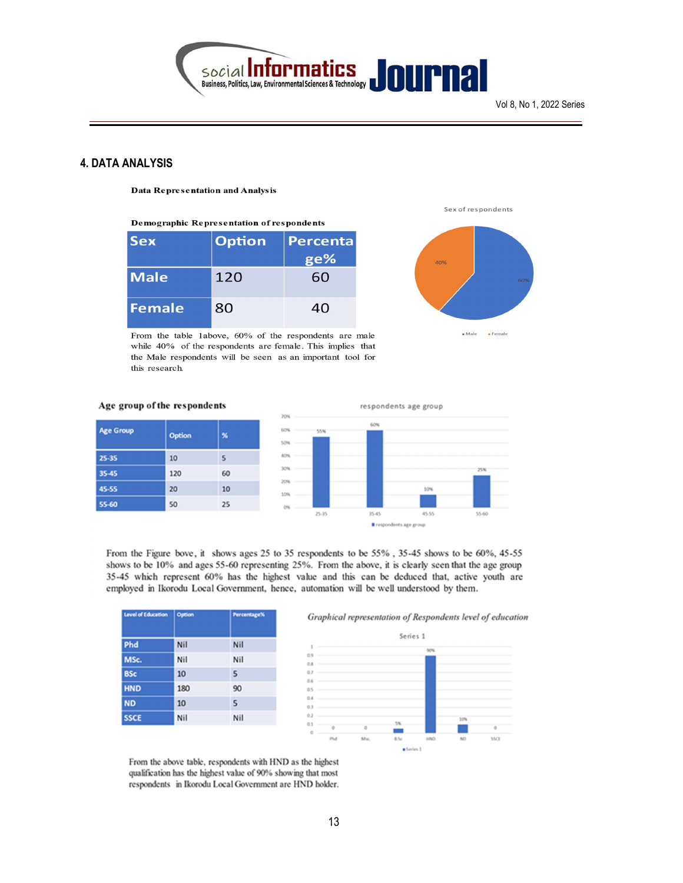

#### 4. DATA ANALYSIS

**Data Representation and Analysis** 

Demographic Representation of respondents

| <b>Sex</b>  | <b>Option</b> | Percenta |
|-------------|---------------|----------|
|             |               | ge%      |
| <b>Male</b> | 120           | 60       |
| Female      | 80            | 40       |

From the table 1above, 60% of the respondents are male while 40% of the respondents are female. This implies that the Male respondents will be seen as an important tool for this research.





#### Age group of the respondents

| <b>Age Group</b> | <b>Option</b> | ×  |
|------------------|---------------|----|
| 25-35            | 10            | 5  |
| 35-45            | 120           | 60 |
| 45-55            | 20            | 10 |
| 55-60            | 50            | 25 |



From the Figure bove, it shows ages 25 to 35 respondents to be 55%, 35-45 shows to be 60%, 45-55 shows to be 10% and ages 55-60 representing 25%. From the above, it is clearly seen that the age group 35-45 which represent 60% has the highest value and this can be deduced that, active youth are employed in Ikorodu Local Government, hence, automation will be well understood by them.

| Level of Education | Option | Percentage% |
|--------------------|--------|-------------|
| Phd                | Nil    | Nil         |
| MSc.               | Nil    | Nil         |
| <b>BSc</b>         | 10     | 5           |
| <b>HND</b>         | 180    | 90          |
| <b>ND</b>          | 10     | 5           |
| <b>SSCE</b>        | Nil    | Nil         |





From the above table, respondents with HND as the highest qualification has the highest value of 90% showing that most respondents in Ikorodu Local Government are HND holder.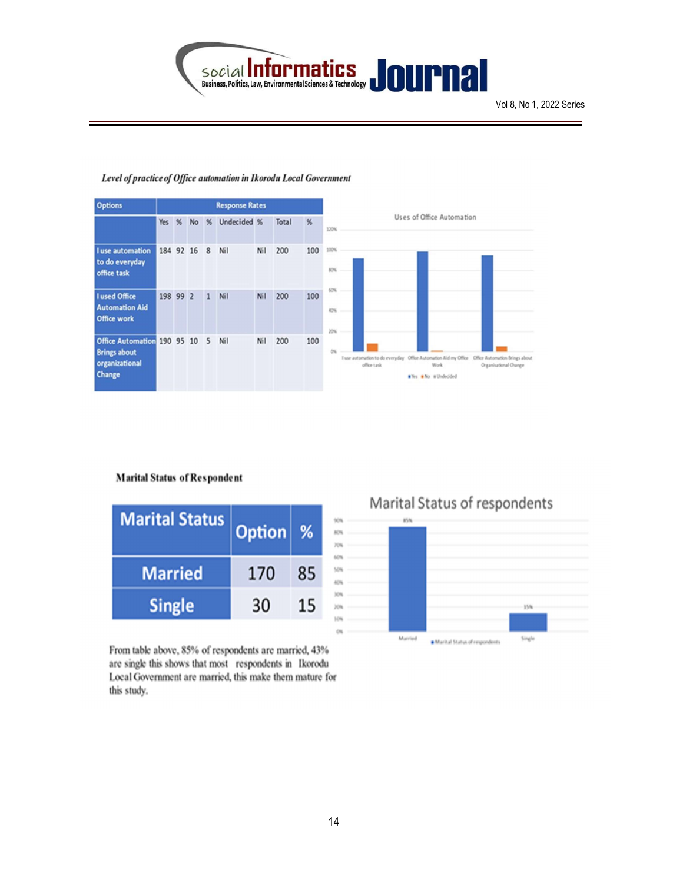

| <b>Options</b>                                                                   |           |   |           |              | <b>Response Rates</b> |     |       |     |                                                                                                                                                                      |  |  |
|----------------------------------------------------------------------------------|-----------|---|-----------|--------------|-----------------------|-----|-------|-----|----------------------------------------------------------------------------------------------------------------------------------------------------------------------|--|--|
|                                                                                  | Yes       | % | <b>No</b> | %            | Undecided %           |     | Total | %   | Uses of Office Automation<br>120%                                                                                                                                    |  |  |
| <b>I</b> use automation<br>to do everyday<br>office task                         | 184 92 16 |   |           | 8            | Nil                   | Nil | 200   | 100 | 100%<br>80%                                                                                                                                                          |  |  |
| I used Office<br><b>Automation Aid</b><br><b>Office work</b>                     | 198 99 2  |   |           | $\mathbf{1}$ | Nil                   | Nil | 200   | 100 | 60%<br>42%<br>20%                                                                                                                                                    |  |  |
| Office Automation 190 95 10 5<br><b>Brings about</b><br>organizational<br>Change |           |   |           |              | Nil                   | Nil | 200   | 100 | I use automation to do everyday Office Automation Aid my Office Office Automation Brings about<br>office task<br>Organisational Change<br>Work<br>Why Mo s Undecided |  |  |

#### Level of practice of Office automation in Ikorodu Local Government

#### **Marital Status of Respondent**

| <b>Marital Status</b> | <b>Option</b> | %  |
|-----------------------|---------------|----|
| <b>Married</b>        | 170           | 85 |
| <b>Single</b>         | 30            | 15 |

From table above, 85% of respondents are married, 43% are single this shows that most respondents in Ikorodu Local Government are married, this make them mature for this study.

# Marital Status of respondents

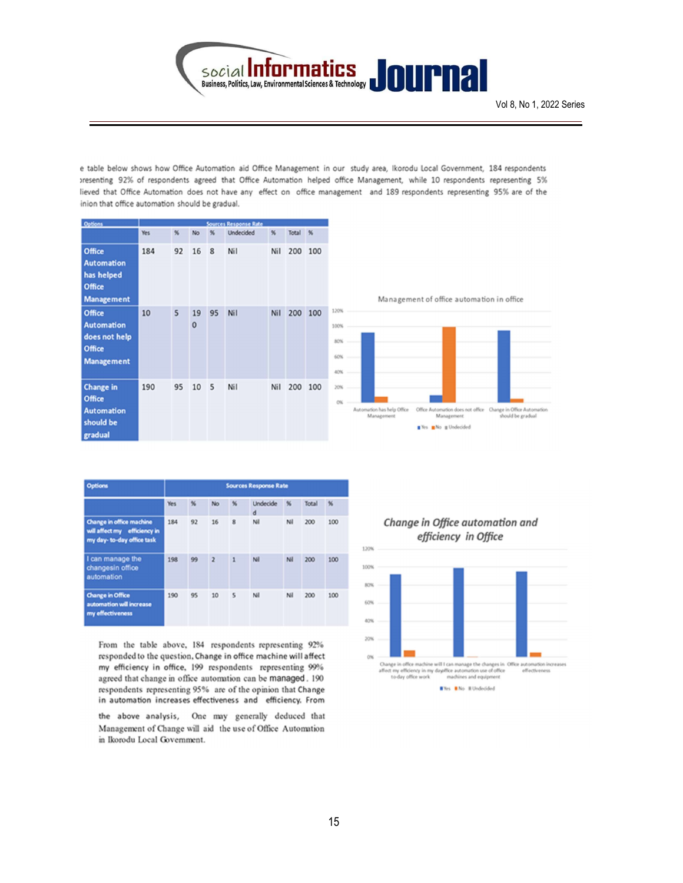

e table below shows how Office Automation aid Office Management in our study area, Ikorodu Local Government, 184 respondents >resenting 92% of respondents agreed that Office Automation helped office Management, while 10 respondents representing 5% lieved that Office Automation does not have any effect on office management and 189 respondents representing 95% are of the inion that office automation should be gradual.

| Options                                                                     |     |    |                |    | Sources Response Rate |     |         |         |
|-----------------------------------------------------------------------------|-----|----|----------------|----|-----------------------|-----|---------|---------|
|                                                                             | Yes | %  | No             | %  | <b>Undecided</b>      | %   | Total % |         |
| Office<br><b>Automation</b><br>has helped<br>Office<br><b>Management</b>    | 184 | 92 | 16             | 8  | Nil                   | Nil | 200     | 100     |
| Office<br><b>Automation</b><br>does not help<br>Office<br><b>Management</b> | 10  | 5  | 19<br>$\bf{0}$ | 95 | Nil                   | Nil |         | 200 100 |
| <b>Change in</b><br>Office<br>Automation<br>should be<br>gradual            | 190 | 95 | 10             | 5  | Nil                   | Nil |         | 200 100 |

| Options                                                                                |     |    |                |                | <b>Sources Response Rate</b> |     |       |                 |
|----------------------------------------------------------------------------------------|-----|----|----------------|----------------|------------------------------|-----|-------|-----------------|
|                                                                                        | Yes | %  | <b>No</b>      | $\frac{1}{26}$ | Undecide<br>d                | %   | Total | $\frac{96}{25}$ |
| Change in office machine<br>will affect my efficiency in<br>my day- to-day office task | 184 | 92 | 16             | 8              | Ni                           | Ni  | 200   | 100             |
| I can manage the<br>changesin office<br>automation                                     | 198 | 99 | $\overline{2}$ | 1              | Ni                           | Nil | 200   | 100             |
| <b>Change in Office</b><br>automation will increase<br>my effectiveness                | 190 | 95 | 10             | 5              | Ni                           | Ni  | 200   | 100             |

From the table above, 184 respondents representing 92% responded to the question, Change in office machine will affect my efficiency in office, 199 respondents representing 99% agreed that change in office automation can be managed. 190 respondents representing 95% are of the opinion that Change in automation increases effectiveness and efficiency. From

the above analysis, One may generally deduced that Management of Change will aid the use of Office Automation in Ikorodu Local Government.

Change in Office automation and efficiency in Office

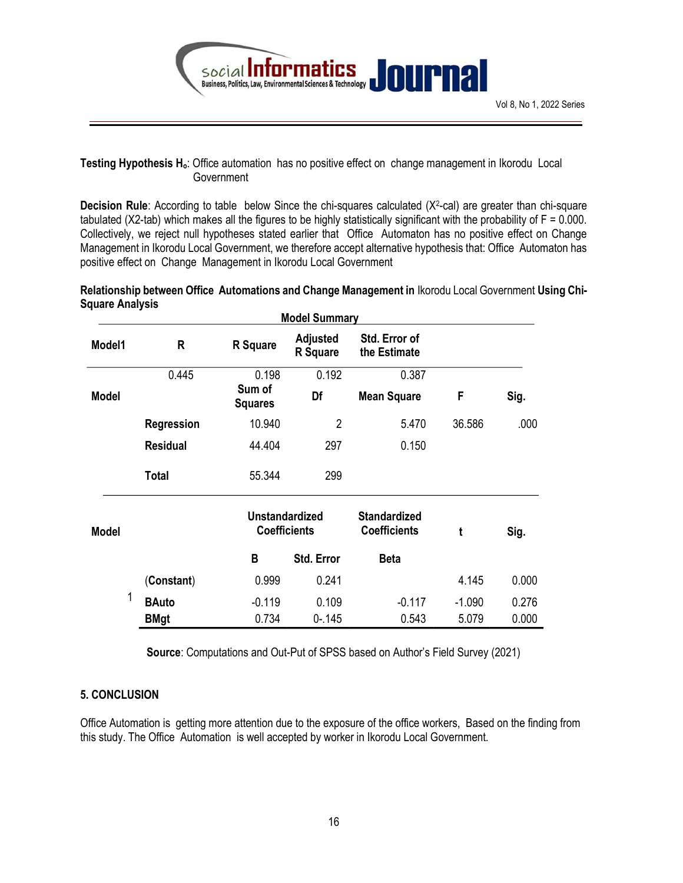

#### Testing Hypothesis H<sub>o</sub>: Office automation has no positive effect on change management in Ikorodu Local **Government**

**Decision Rule**: According to table below Since the chi-squares calculated  $(X^2$ -cal) are greater than chi-square tabulated (X2-tab) which makes all the figures to be highly statistically significant with the probability of F = 0.000. Collectively, we reject null hypotheses stated earlier that Office Automaton has no positive effect on Change Management in Ikorodu Local Government, we therefore accept alternative hypothesis that: Office Automaton has positive effect on Change Management in Ikorodu Local Government

#### Relationship between Office Automations and Change Management in Ikorodu Local Government Using Chi-Square Analysis

|              |                 |                                              | <b>Model Summary</b>        |                                            |          |       |
|--------------|-----------------|----------------------------------------------|-----------------------------|--------------------------------------------|----------|-------|
| Model1       | R               | <b>R</b> Square                              | <b>Adjusted</b><br>R Square | Std. Error of<br>the Estimate              |          |       |
|              | 0.445           | 0.198                                        | 0.192                       | 0.387                                      |          |       |
| <b>Model</b> |                 | Sum of<br><b>Squares</b>                     | Df                          | <b>Mean Square</b>                         | F        | Sig.  |
|              | Regression      | 10.940                                       | $\overline{2}$              | 5.470                                      | 36.586   | .000  |
|              | <b>Residual</b> | 44.404                                       | 297                         | 0.150                                      |          |       |
|              | <b>Total</b>    | 55.344                                       | 299                         |                                            |          |       |
| <b>Model</b> |                 | <b>Unstandardized</b><br><b>Coefficients</b> |                             | <b>Standardized</b><br><b>Coefficients</b> | t        | Sig.  |
|              |                 | B                                            | Std. Error                  | <b>Beta</b>                                |          |       |
|              | (Constant)      | 0.999                                        | 0.241                       |                                            | 4.145    | 0.000 |
| 1            | <b>BAuto</b>    | $-0.119$                                     | 0.109                       | $-0.117$                                   | $-1.090$ | 0.276 |
|              | <b>BMgt</b>     | 0.734                                        | $0 - 145$                   | 0.543                                      | 5.079    | 0.000 |

Source: Computations and Out-Put of SPSS based on Author's Field Survey (2021)

### 5. CONCLUSION

Office Automation is getting more attention due to the exposure of the office workers, Based on the finding from this study. The Office Automation is well accepted by worker in Ikorodu Local Government.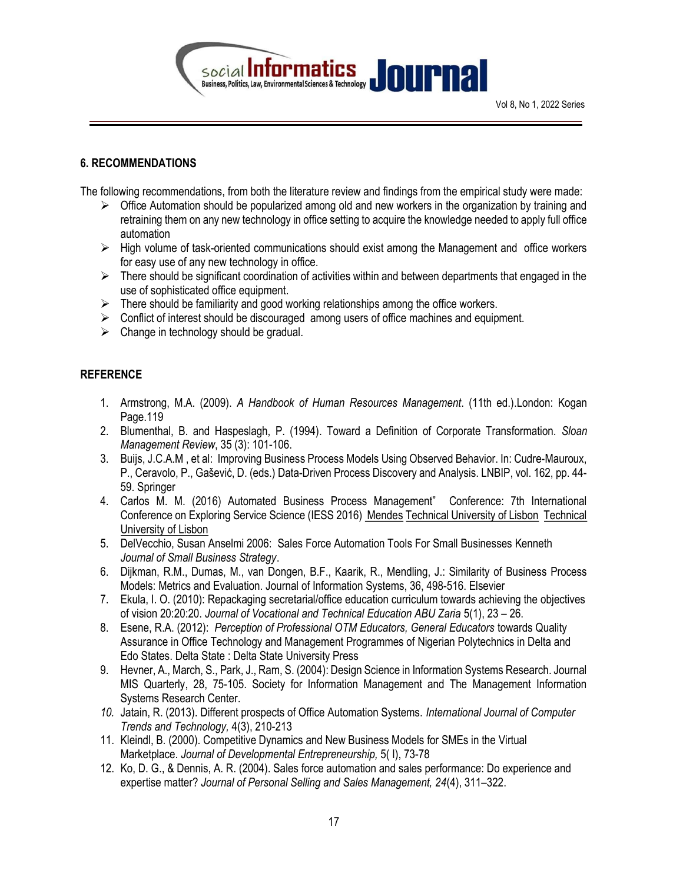

#### 6. RECOMMENDATIONS

The following recommendations, from both the literature review and findings from the empirical study were made:

- $\triangleright$  Office Automation should be popularized among old and new workers in the organization by training and retraining them on any new technology in office setting to acquire the knowledge needed to apply full office automation
- $\triangleright$  High volume of task-oriented communications should exist among the Management and office workers for easy use of any new technology in office.
- $\triangleright$  There should be significant coordination of activities within and between departments that engaged in the use of sophisticated office equipment.
- $\triangleright$  There should be familiarity and good working relationships among the office workers.
- $\triangleright$  Conflict of interest should be discouraged among users of office machines and equipment.
- $\triangleright$  Change in technology should be gradual.

#### **REFERENCE**

- 1. Armstrong, M.A. (2009). A Handbook of Human Resources Management. (11th ed.).London: Kogan Page.119
- 2. Blumenthal, B. and Haspeslagh, P. (1994). Toward a Definition of Corporate Transformation. Sloan Management Review, 35 (3): 101-106.
- 3. Buijs, J.C.A.M , et al: Improving Business Process Models Using Observed Behavior. In: Cudre-Mauroux, P., Ceravolo, P., Gašević, D. (eds.) Data-Driven Process Discovery and Analysis. LNBIP, vol. 162, pp. 44- 59. Springer
- 4. Carlos M. M. (2016) Automated Business Process Management" Conference: 7th International Conference on Exploring Service Science (IESS 2016) Mendes Technical University of Lisbon Technical University of Lisbon
- 5. DelVecchio, Susan Anselmi 2006: Sales Force Automation Tools For Small Businesses Kenneth Journal of Small Business Strategy.
- 6. Dijkman, R.M., Dumas, M., van Dongen, B.F., Kaarik, R., Mendling, J.: Similarity of Business Process Models: Metrics and Evaluation. Journal of Information Systems, 36, 498-516. Elsevier
- 7. Ekula, I. O. (2010): Repackaging secretarial/office education curriculum towards achieving the objectives of vision 20:20:20. Journal of Vocational and Technical Education ABU Zaria 5(1), 23 – 26.
- 8. Esene, R.A. (2012): Perception of Professional OTM Educators, General Educators towards Quality Assurance in Office Technology and Management Programmes of Nigerian Polytechnics in Delta and Edo States. Delta State : Delta State University Press
- 9. Hevner, A., March, S., Park, J., Ram, S. (2004): Design Science in Information Systems Research. Journal MIS Quarterly, 28, 75-105. Society for Information Management and The Management Information Systems Research Center.
- 10. Jatain, R. (2013). Different prospects of Office Automation Systems. International Journal of Computer Trends and Technology, 4(3), 210-213
- 11. Kleindl, B. (2000). Competitive Dynamics and New Business Models for SMEs in the Virtual Marketplace. Journal of Developmental Entrepreneurship, 5( I), 73-78
- 12. Ko, D. G., & Dennis, A. R. (2004). Sales force automation and sales performance: Do experience and expertise matter? Journal of Personal Selling and Sales Management, 24(4), 311–322.